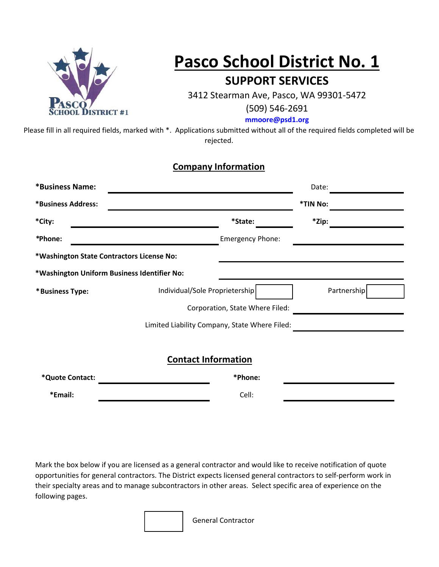

# **Pasco School District No. 1 SUPPORT SERVICES**

3412 Stearman Ave, Pasco, WA 99301-5472

(509) 546-2691

**[mmoore@psd1.org](mailto:mmoore@psd1.org)**

Please fill in all required fields, marked with \*. Applications submitted without all of the required fields completed will be rejected.

#### **Company Information**

| *Business Name:    |                                               |                                 | Date:    |             |  |
|--------------------|-----------------------------------------------|---------------------------------|----------|-------------|--|
| *Business Address: |                                               |                                 | *TIN No: |             |  |
| *City:             |                                               | *State:                         | *Zip:    |             |  |
| *Phone:            |                                               | <b>Emergency Phone:</b>         |          |             |  |
|                    | *Washington State Contractors License No:     |                                 |          |             |  |
|                    | *Washington Uniform Business Identifier No:   |                                 |          |             |  |
| *Business Type:    | Individual/Sole Proprietership                |                                 |          | Partnership |  |
|                    |                                               | Corporation, State Where Filed: |          |             |  |
|                    | Limited Liability Company, State Where Filed: |                                 |          |             |  |
|                    |                                               |                                 |          |             |  |
|                    | <b>Contact Information</b>                    |                                 |          |             |  |
| *Quote Contact:    |                                               | *Phone:                         |          |             |  |
| *Email:            |                                               | Cell:                           |          |             |  |

Mark the box below if you are licensed as a general contractor and would like to receive notification of quote opportunities for general contractors. The District expects licensed general contractors to self-perform work in their specialty areas and to manage subcontractors in other areas. Select specific area of experience on the following pages.

General Contractor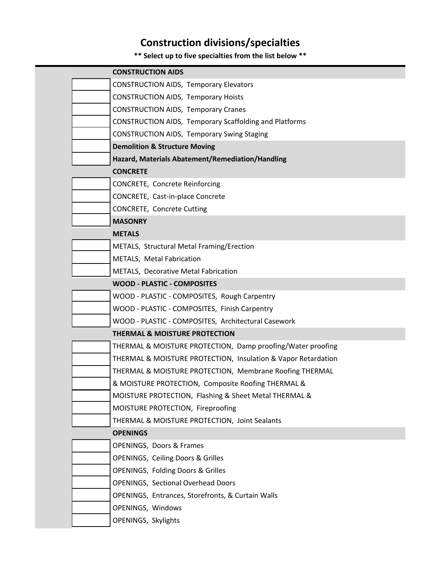## **Construction divisions/specialties**

### **\*\* Select up to five specialties from the list below \*\***

| <b>CONSTRUCTION AIDS</b>                      |                                                               |
|-----------------------------------------------|---------------------------------------------------------------|
| <b>CONSTRUCTION AIDS, Temporary Elevators</b> |                                                               |
| <b>CONSTRUCTION AIDS, Temporary Hoists</b>    |                                                               |
| <b>CONSTRUCTION AIDS, Temporary Cranes</b>    |                                                               |
|                                               | <b>CONSTRUCTION AIDS, Temporary Scaffolding and Platforms</b> |
|                                               | <b>CONSTRUCTION AIDS, Temporary Swing Staging</b>             |
| <b>Demolition &amp; Structure Moving</b>      |                                                               |
|                                               | Hazard, Materials Abatement/Remediation/Handling              |
| <b>CONCRETE</b>                               |                                                               |
| CONCRETE, Concrete Reinforcing                |                                                               |
| CONCRETE, Cast-in-place Concrete              |                                                               |
| CONCRETE, Concrete Cutting                    |                                                               |
| <b>MASONRY</b>                                |                                                               |
| <b>METALS</b>                                 |                                                               |
| METALS, Structural Metal Framing/Erection     |                                                               |
| METALS, Metal Fabrication                     |                                                               |
| METALS, Decorative Metal Fabrication          |                                                               |
| <b>WOOD - PLASTIC - COMPOSITES</b>            |                                                               |
|                                               | WOOD - PLASTIC - COMPOSITES, Rough Carpentry                  |
|                                               | WOOD - PLASTIC - COMPOSITES, Finish Carpentry                 |
|                                               | WOOD - PLASTIC - COMPOSITES, Architectural Casework           |
| <b>THERMAL &amp; MOISTURE PROTECTION</b>      |                                                               |
|                                               | THERMAL & MOISTURE PROTECTION, Damp proofing/Water proofing   |
|                                               | THERMAL & MOISTURE PROTECTION, Insulation & Vapor Retardation |
|                                               | THERMAL & MOISTURE PROTECTION, Membrane Roofing THERMAL       |
|                                               | & MOISTURE PROTECTION, Composite Roofing THERMAL &            |
|                                               | MOISTURE PROTECTION, Flashing & Sheet Metal THERMAL &         |
| MOISTURE PROTECTION, Fireproofing             |                                                               |
|                                               | THERMAL & MOISTURE PROTECTION, Joint Sealants                 |
| <b>OPENINGS</b>                               |                                                               |
| <b>OPENINGS, Doors &amp; Frames</b>           |                                                               |
| <b>OPENINGS, Ceiling Doors &amp; Grilles</b>  |                                                               |
| <b>OPENINGS, Folding Doors &amp; Grilles</b>  |                                                               |
| <b>OPENINGS, Sectional Overhead Doors</b>     |                                                               |
|                                               | OPENINGS, Entrances, Storefronts, & Curtain Walls             |
| OPENINGS, Windows                             |                                                               |
| OPENINGS, Skylights                           |                                                               |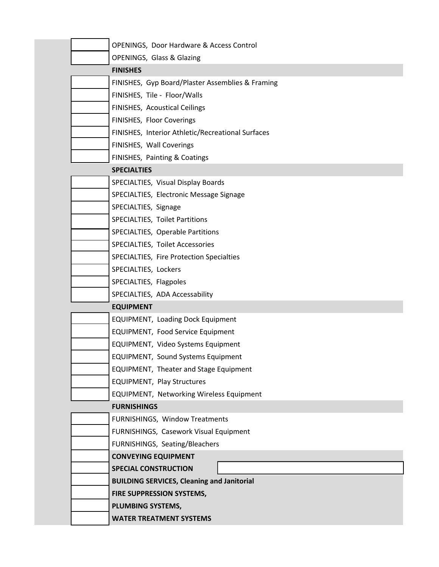| OPENINGS, Door Hardware & Access Control          |
|---------------------------------------------------|
| OPENINGS, Glass & Glazing                         |
| <b>FINISHES</b>                                   |
| FINISHES, Gyp Board/Plaster Assemblies & Framing  |
| FINISHES, Tile - Floor/Walls                      |
| FINISHES, Acoustical Ceilings                     |
| FINISHES, Floor Coverings                         |
| FINISHES, Interior Athletic/Recreational Surfaces |
| FINISHES, Wall Coverings                          |
| FINISHES, Painting & Coatings                     |
| <b>SPECIALTIES</b>                                |
| SPECIALTIES, Visual Display Boards                |
| SPECIALTIES, Electronic Message Signage           |
| SPECIALTIES, Signage                              |
| SPECIALTIES, Toilet Partitions                    |
| SPECIALTIES, Operable Partitions                  |
| SPECIALTIES, Toilet Accessories                   |
| SPECIALTIES, Fire Protection Specialties          |
| SPECIALTIES, Lockers                              |
| SPECIALTIES, Flagpoles                            |
| SPECIALTIES, ADA Accessability                    |
| <b>EQUIPMENT</b>                                  |
| <b>EQUIPMENT, Loading Dock Equipment</b>          |
| <b>EQUIPMENT, Food Service Equipment</b>          |
| EQUIPMENT, Video Systems Equipment                |
| <b>EQUIPMENT, Sound Systems Equipment</b>         |
| <b>EQUIPMENT, Theater and Stage Equipment</b>     |
| <b>EQUIPMENT, Play Structures</b>                 |
| <b>EQUIPMENT, Networking Wireless Equipment</b>   |
| <b>FURNISHINGS</b>                                |
| FURNISHINGS, Window Treatments                    |
| FURNISHINGS, Casework Visual Equipment            |
| FURNISHINGS, Seating/Bleachers                    |
| <b>CONVEYING EQUIPMENT</b>                        |
| <b>SPECIAL CONSTRUCTION</b>                       |
| <b>BUILDING SERVICES, Cleaning and Janitorial</b> |
| FIRE SUPPRESSION SYSTEMS,                         |
| PLUMBING SYSTEMS,                                 |
| <b>WATER TREATMENT SYSTEMS</b>                    |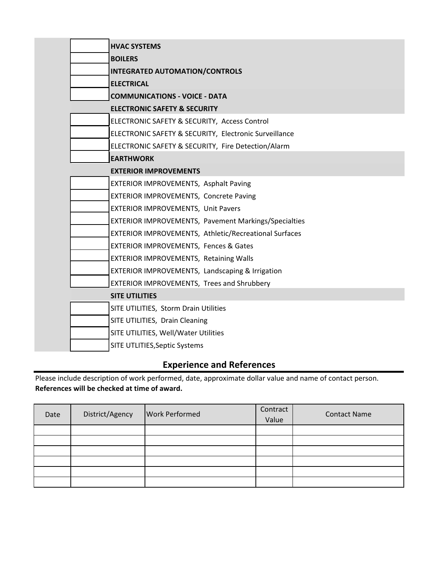| <b>HVAC SYSTEMS</b>                                   |
|-------------------------------------------------------|
| <b>BOILERS</b>                                        |
| <b>INTEGRATED AUTOMATION/CONTROLS</b>                 |
| <b>ELECTRICAL</b>                                     |
| <b>COMMUNICATIONS - VOICE - DATA</b>                  |
| <b>ELECTRONIC SAFETY &amp; SECURITY</b>               |
| ELECTRONIC SAFETY & SECURITY, Access Control          |
| ELECTRONIC SAFETY & SECURITY, Electronic Surveillance |
| ELECTRONIC SAFETY & SECURITY, Fire Detection/Alarm    |
| <b>EARTHWORK</b>                                      |
| <b>EXTERIOR IMPROVEMENTS</b>                          |
| EXTERIOR IMPROVEMENTS, Asphalt Paving                 |
| EXTERIOR IMPROVEMENTS, Concrete Paving                |
| EXTERIOR IMPROVEMENTS, Unit Pavers                    |
| EXTERIOR IMPROVEMENTS, Pavement Markings/Specialties  |
| EXTERIOR IMPROVEMENTS, Athletic/Recreational Surfaces |
| <b>EXTERIOR IMPROVEMENTS, Fences &amp; Gates</b>      |
| <b>EXTERIOR IMPROVEMENTS, Retaining Walls</b>         |
| EXTERIOR IMPROVEMENTS, Landscaping & Irrigation       |
| <b>EXTERIOR IMPROVEMENTS, Trees and Shrubbery</b>     |
| <b>SITE UTILITIES</b>                                 |
| SITE UTILITIES, Storm Drain Utilities                 |
| SITE UTILITIES, Drain Cleaning                        |
| SITE UTILITIES, Well/Water Utilities                  |
| SITE UTLITIES, Septic Systems                         |

### **Experience and References**

Please include description of work performed, date, approximate dollar value and name of contact person. **References will be checked at time of award.**

| Date | District/Agency | <b>Work Performed</b> | Contract<br>Value | <b>Contact Name</b> |
|------|-----------------|-----------------------|-------------------|---------------------|
|      |                 |                       |                   |                     |
|      |                 |                       |                   |                     |
|      |                 |                       |                   |                     |
|      |                 |                       |                   |                     |
|      |                 |                       |                   |                     |
|      |                 |                       |                   |                     |